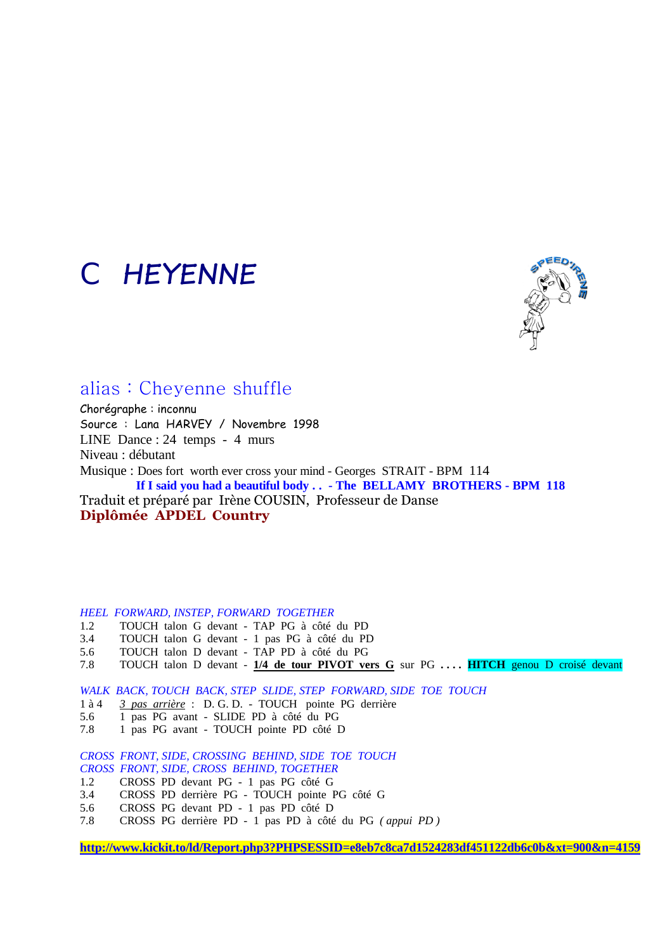# *CHEYENNE*



### alias : Cheyenne shuffle

Chorégraphe : inconnu Source : Lana HARVEY / Novembre 1998 LINE Dance : 24 temps - 4 murs Niveau : débutant Musique : Does fort worth ever cross your mind - Georges STRAIT - BPM 114 **If I said you had a beautiful body . . - The BELLAMY BROTHERS - BPM 118**  Traduit et préparé par Irène COUSIN, Professeur de Danse **Diplômée APDEL Country** 

#### *HEEL FORWARD, INSTEP, FORWARD TOGETHER*

- 1.2 TOUCH talon G devant TAP PG à côté du PD
- 3.4 TOUCH talon G devant 1 pas PG à côté du PD<br>5.6 TOUCH talon D devant TAP PD à côté du PG
- 5.6 TOUCH talon D devant TAP PD à côté du PG
- 7.8 TOUCH talon D devant **1/4 de tour PIVOT vers G** sur PG **. . . . HITCH** genou D croisé devant

*WALK BACK, TOUCH BACK, STEP SLIDE, STEP FORWARD, SIDE TOE TOUCH*

- 1 à 4 *3 pas arrière* : D. G. D. TOUCH pointe PG derrière
- 5.6 1 pas PG avant SLIDE PD à côté du PG
- 7.8 1 pas PG avant TOUCH pointe PD côté D

*CROSS FRONT, SIDE, CROSSING BEHIND, SIDE TOE TOUCH CROSS FRONT, SIDE, CROSS BEHIND, TOGETHER*

- 1.2 CROSS PD devant PG 1 pas PG côté G
- 3.4 CROSS PD derrière PG TOUCH pointe PG côté G
- 5.6 CROSS PG devant PD 1 pas PD côté D
- 7.8 CROSS PG derrière PD 1 pas PD à côté du PG *( appui PD )*

**<http://www.kickit.to/ld/Report.php3?PHPSESSID=e8eb7c8ca7d1524283df451122db6c0b&xt=900&n=4159>**